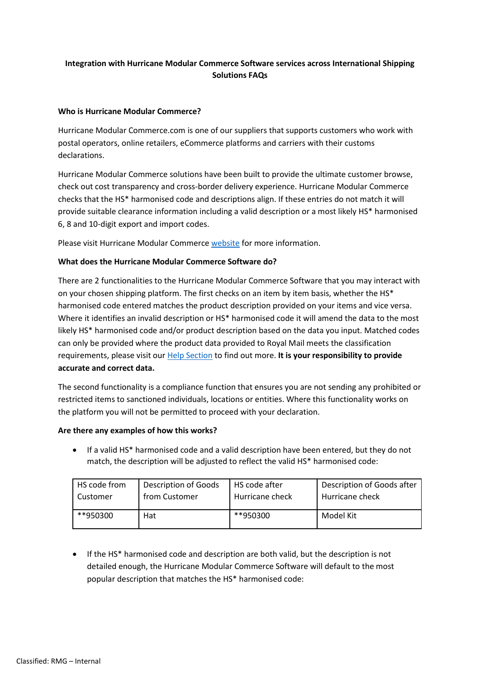# **Integration with Hurricane Modular Commerce Software services across International Shipping Solutions FAQs**

### **Who is Hurricane Modular Commerce?**

Hurricane Modular Commerce.com is one of our suppliers that supports customers who work with postal operators, online retailers, eCommerce platforms and carriers with their customs declarations.

Hurricane Modular Commerce solutions have been built to provide the ultimate customer browse, check out cost transparency and cross-border delivery experience. Hurricane Modular Commerce checks that the HS\* harmonised code and descriptions align. If these entries do not match it will provide suitable clearance information including a valid description or a most likely HS\* harmonised 6, 8 and 10-digit export and import codes.

Please visit Hurricane Modular Commerce [website](https://hurricanecommerce.com/) for more information.

### **What does the Hurricane Modular Commerce Software do?**

There are 2 functionalities to the Hurricane Modular Commerce Software that you may interact with on your chosen shipping platform. The first checks on an item by item basis, whether the HS\* harmonised code entered matches the product description provided on your items and vice versa. Where it identifies an invalid description or HS\* harmonised code it will amend the data to the most likely HS\* harmonised code and/or product description based on the data you input. Matched codes can only be provided where the product data provided to Royal Mail meets the classification requirements, please visit ou[r Help Section](https://business.help.royalmail.com/app/answers/detail/a_id/875/kw/creating%20batches) to find out more. **It is your responsibility to provide accurate and correct data.** 

The second functionality is a compliance function that ensures you are not sending any prohibited or restricted items to sanctioned individuals, locations or entities. Where this functionality works on the platform you will not be permitted to proceed with your declaration.

#### **Are there any examples of how this works?**

• If a valid HS\* harmonised code and a valid description have been entered, but they do not match, the description will be adjusted to reflect the valid HS\* harmonised code:

| HS code from | Description of Goods | HS code after   | Description of Goods after |
|--------------|----------------------|-----------------|----------------------------|
| Customer     | from Customer        | Hurricane check | Hurricane check            |
| **950300     | Hat                  | **950300        | Model Kit                  |

• If the HS\* harmonised code and description are both valid, but the description is not detailed enough, the Hurricane Modular Commerce Software will default to the most popular description that matches the HS\* harmonised code: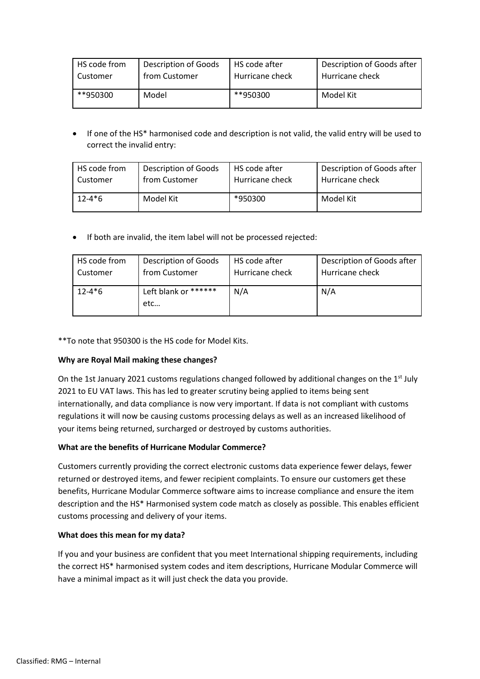| HS code from | <b>Description of Goods</b> | HS code after   | Description of Goods after |
|--------------|-----------------------------|-----------------|----------------------------|
| Customer     | from Customer               | Hurricane check | Hurricane check            |
| **950300     | Model                       | **950300        | Model Kit                  |

• If one of the HS\* harmonised code and description is not valid, the valid entry will be used to correct the invalid entry:

| HS code from | <b>Description of Goods</b> | HS code after   | Description of Goods after |
|--------------|-----------------------------|-----------------|----------------------------|
| Customer     | from Customer               | Hurricane check | Hurricane check            |
| $12 - 4 * 6$ | Model Kit                   | *950300         | Model Kit                  |

• If both are invalid, the item label will not be processed rejected:

| HS code from | <b>Description of Goods</b> | HS code after   | Description of Goods after |
|--------------|-----------------------------|-----------------|----------------------------|
| Customer     | from Customer               | Hurricane check | Hurricane check            |
| $12 - 4*6$   | Left blank or ******<br>etc | N/A             | N/A                        |

\*\*To note that 950300 is the HS code for Model Kits.

# **Why are Royal Mail making these changes?**

On the 1st January 2021 customs regulations changed followed by additional changes on the  $1<sup>st</sup>$  July 2021 to EU VAT laws. This has led to greater scrutiny being applied to items being sent internationally, and data compliance is now very important. If data is not compliant with customs regulations it will now be causing customs processing delays as well as an increased likelihood of your items being returned, surcharged or destroyed by customs authorities.

# **What are the benefits of Hurricane Modular Commerce?**

Customers currently providing the correct electronic customs data experience fewer delays, fewer returned or destroyed items, and fewer recipient complaints. To ensure our customers get these benefits, Hurricane Modular Commerce software aims to increase compliance and ensure the item description and the HS\* Harmonised system code match as closely as possible. This enables efficient customs processing and delivery of your items.

#### **What does this mean for my data?**

If you and your business are confident that you meet International shipping requirements, including the correct HS\* harmonised system codes and item descriptions, Hurricane Modular Commerce will have a minimal impact as it will just check the data you provide.